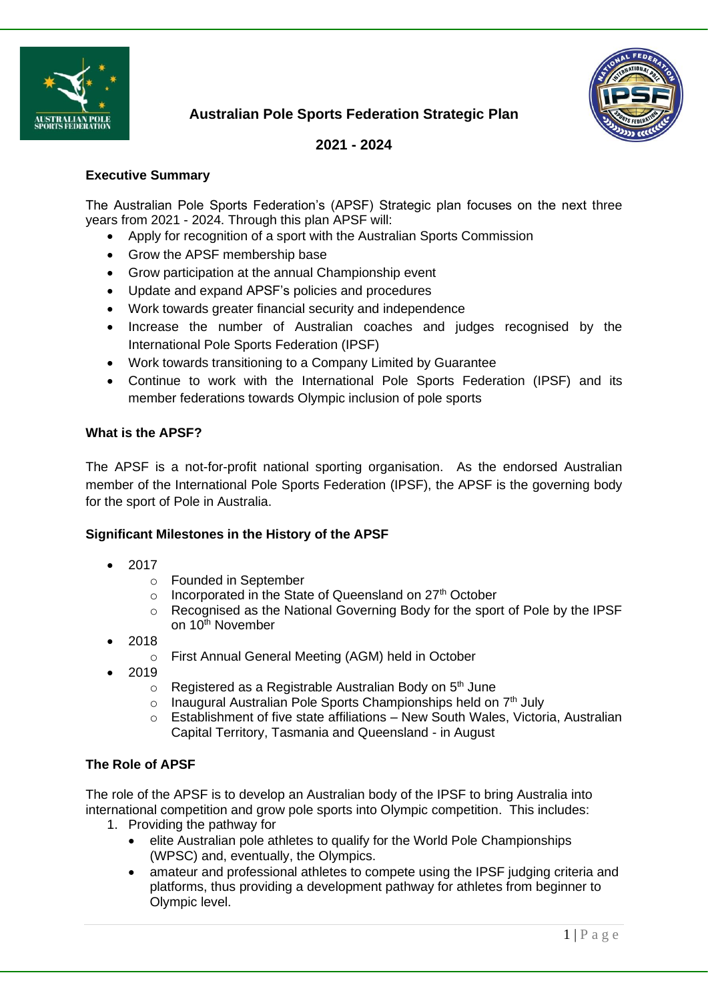



**2021 - 2024**

# **Executive Summary**

The Australian Pole Sports Federation's (APSF) Strategic plan focuses on the next three years from 2021 - 2024. Through this plan APSF will:

- Apply for recognition of a sport with the Australian Sports Commission
- Grow the APSF membership base
- Grow participation at the annual Championship event
- Update and expand APSF's policies and procedures
- Work towards greater financial security and independence
- Increase the number of Australian coaches and judges recognised by the International Pole Sports Federation (IPSF)
- Work towards transitioning to a Company Limited by Guarantee
- Continue to work with the International Pole Sports Federation (IPSF) and its member federations towards Olympic inclusion of pole sports

# **What is the APSF?**

The APSF is a not-for-profit national sporting organisation. As the endorsed Australian member of the International Pole Sports Federation (IPSF), the APSF is the governing body for the sport of Pole in Australia.

# **Significant Milestones in the History of the APSF**

- 2017
	- o Founded in September
	- $\circ$  Incorporated in the State of Queensland on 27<sup>th</sup> October
	- o Recognised as the National Governing Body for the sport of Pole by the IPSF on 10<sup>th</sup> November
- 2018
	- o First Annual General Meeting (AGM) held in October
- 2019
	- $\circ$  Registered as a Registrable Australian Body on 5<sup>th</sup> June
	- $\circ$  Inaugural Australian Pole Sports Championships held on  $7<sup>th</sup>$  July
	- $\circ$  Establishment of five state affiliations New South Wales, Victoria, Australian Capital Territory, Tasmania and Queensland - in August

# **The Role of APSF**

The role of the APSF is to develop an Australian body of the IPSF to bring Australia into international competition and grow pole sports into Olympic competition. This includes:

- 1. Providing the pathway for
	- elite Australian pole athletes to qualify for the World Pole Championships (WPSC) and, eventually, the Olympics.
	- amateur and professional athletes to compete using the IPSF judging criteria and platforms, thus providing a development pathway for athletes from beginner to Olympic level.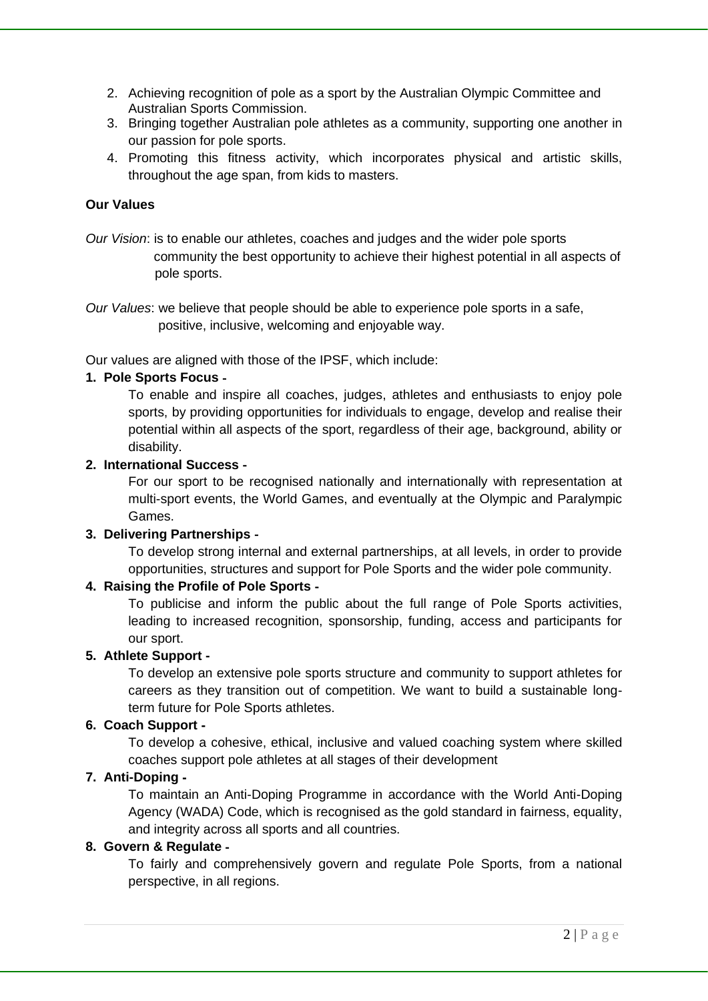- 2. Achieving recognition of pole as a sport by the Australian Olympic Committee and Australian Sports Commission.
- 3. Bringing together Australian pole athletes as a community, supporting one another in our passion for pole sports.
- 4. Promoting this fitness activity, which incorporates physical and artistic skills, throughout the age span, from kids to masters.

### **Our Values**

*Our Vision*: is to enable our athletes, coaches and judges and the wider pole sports community the best opportunity to achieve their highest potential in all aspects of pole sports.

*Our Values*: we believe that people should be able to experience pole sports in a safe, positive, inclusive, welcoming and enjoyable way.

Our values are aligned with those of the IPSF, which include:

### **1. Pole Sports Focus** ‐

To enable and inspire all coaches, judges, athletes and enthusiasts to enjoy pole sports, by providing opportunities for individuals to engage, develop and realise their potential within all aspects of the sport, regardless of their age, background, ability or disability.

#### **2. International Success** ‐

For our sport to be recognised nationally and internationally with representation at multi-sport events, the World Games, and eventually at the Olympic and Paralympic Games.

### **3. Delivering Partnerships** ‐

To develop strong internal and external partnerships, at all levels, in order to provide opportunities, structures and support for Pole Sports and the wider pole community.

#### **4. Raising the Profile of Pole Sports** ‐

To publicise and inform the public about the full range of Pole Sports activities, leading to increased recognition, sponsorship, funding, access and participants for our sport.

#### **5. Athlete Support -**

To develop an extensive pole sports structure and community to support athletes for careers as they transition out of competition. We want to build a sustainable longterm future for Pole Sports athletes.

# **6. Coach Support** ‐

To develop a cohesive, ethical, inclusive and valued coaching system where skilled coaches support pole athletes at all stages of their development

### **7. Anti-Doping** ‐

To maintain an Anti-Doping Programme in accordance with the World Anti-Doping Agency (WADA) Code, which is recognised as the gold standard in fairness, equality, and integrity across all sports and all countries.

#### **8. Govern & Regulate** ‐

To fairly and comprehensively govern and regulate Pole Sports, from a national perspective, in all regions.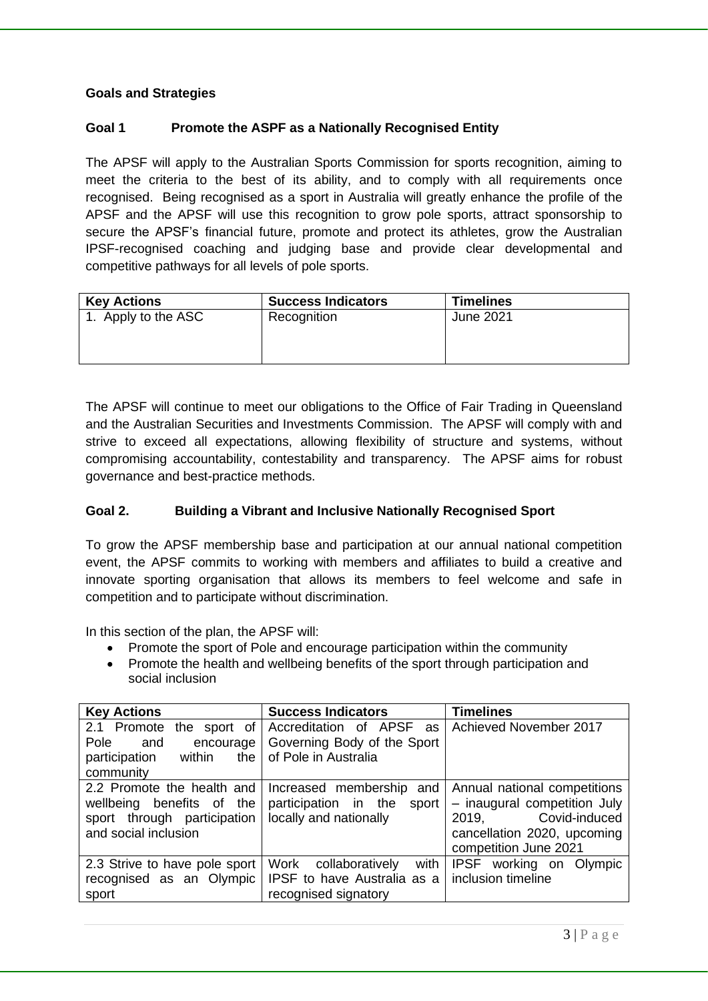## **Goals and Strategies**

### **Goal 1 Promote the ASPF as a Nationally Recognised Entity**

The APSF will apply to the Australian Sports Commission for sports recognition, aiming to meet the criteria to the best of its ability, and to comply with all requirements once recognised. Being recognised as a sport in Australia will greatly enhance the profile of the APSF and the APSF will use this recognition to grow pole sports, attract sponsorship to secure the APSF's financial future, promote and protect its athletes, grow the Australian IPSF-recognised coaching and judging base and provide clear developmental and competitive pathways for all levels of pole sports.

| <b>Key Actions</b>  | <b>Success Indicators</b> | <b>Timelines</b> |
|---------------------|---------------------------|------------------|
| 1. Apply to the ASC | Recognition               | June 2021        |

The APSF will continue to meet our obligations to the Office of Fair Trading in Queensland and the Australian Securities and Investments Commission. The APSF will comply with and strive to exceed all expectations, allowing flexibility of structure and systems, without compromising accountability, contestability and transparency. The APSF aims for robust governance and best-practice methods.

#### **Goal 2. Building a Vibrant and Inclusive Nationally Recognised Sport**

To grow the APSF membership base and participation at our annual national competition event, the APSF commits to working with members and affiliates to build a creative and innovate sporting organisation that allows its members to feel welcome and safe in competition and to participate without discrimination.

In this section of the plan, the APSF will:

- Promote the sport of Pole and encourage participation within the community
- Promote the health and wellbeing benefits of the sport through participation and social inclusion

| <b>Key Actions</b>                                                                                                | <b>Success Indicators</b>                                                              | <b>Timelines</b>                                                                                                                               |
|-------------------------------------------------------------------------------------------------------------------|----------------------------------------------------------------------------------------|------------------------------------------------------------------------------------------------------------------------------------------------|
| 2.1 Promote<br>the<br>sport of<br>Pole<br>and<br>encourage                                                        | Accreditation of<br>APSF<br>as<br>Governing Body of the Sport                          | Achieved November 2017                                                                                                                         |
| within<br>participation<br>the<br>community                                                                       | of Pole in Australia                                                                   |                                                                                                                                                |
| 2.2 Promote the health and<br>wellbeing benefits of<br>the<br>sport through participation<br>and social inclusion | Increased membership<br>and<br>participation in the<br>sport<br>locally and nationally | Annual national competitions<br>- inaugural competition July<br>Covid-induced<br>2019,<br>cancellation 2020, upcoming<br>competition June 2021 |
| 2.3 Strive to have pole sport<br>recognised as an Olympic<br>sport                                                | Work<br>with<br>collaboratively<br>IPSF to have Australia as a<br>recognised signatory | IPSF working on Olympic<br>inclusion timeline                                                                                                  |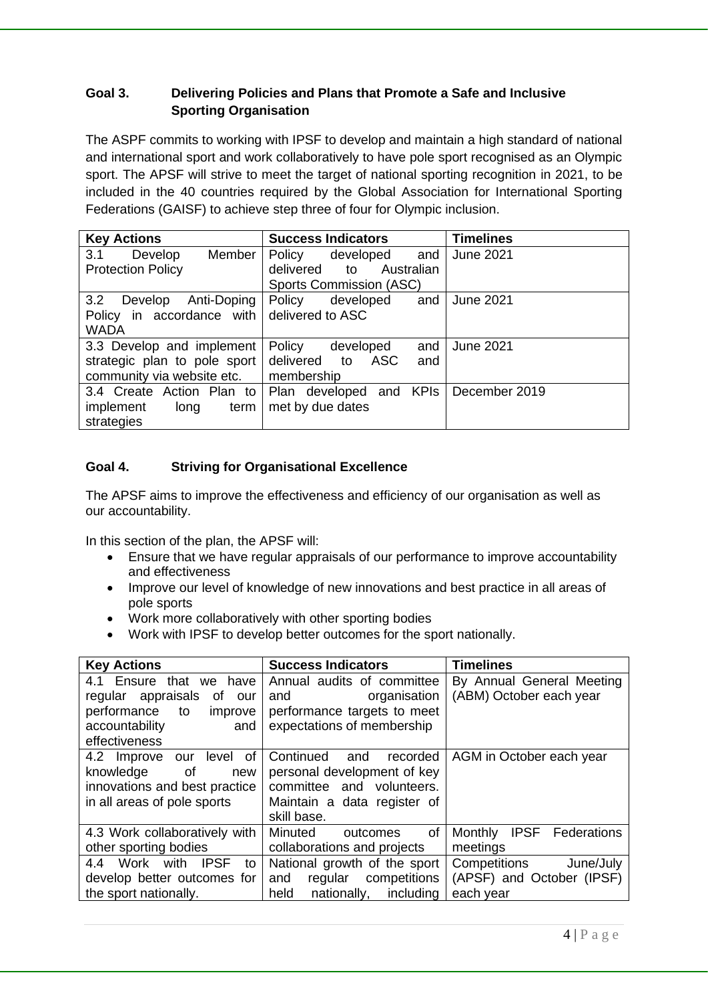## **Goal 3. Delivering Policies and Plans that Promote a Safe and Inclusive Sporting Organisation**

The ASPF commits to working with IPSF to develop and maintain a high standard of national and international sport and work collaboratively to have pole sport recognised as an Olympic sport. The APSF will strive to meet the target of national sporting recognition in 2021, to be included in the 40 countries required by the Global Association for International Sporting Federations (GAISF) to achieve step three of four for Olympic inclusion.

| <b>Key Actions</b>            | <b>Success Indicators</b>                           | <b>Timelines</b> |
|-------------------------------|-----------------------------------------------------|------------------|
| 3.1<br>Member  <br>Develop    | Policy<br>developed<br>and                          | <b>June 2021</b> |
| <b>Protection Policy</b>      | delivered to<br>Australian                          |                  |
|                               | <b>Sports Commission (ASC)</b>                      |                  |
| 3.2<br>Anti-Doping<br>Develop | Policy<br>developed<br>and                          | <b>June 2021</b> |
| Policy in accordance with     | delivered to ASC                                    |                  |
| <b>WADA</b>                   |                                                     |                  |
| 3.3 Develop and implement     | and<br>Policy<br>developed                          | <b>June 2021</b> |
| strategic plan to pole sport  | ASC<br>delivered to<br>and                          |                  |
| community via website etc.    | membership                                          |                  |
|                               | 3.4 Create Action Plan to   Plan developed and KPIs | December 2019    |
| implement<br>long<br>term     | met by due dates                                    |                  |
| strategies                    |                                                     |                  |

# **Goal 4. Striving for Organisational Excellence**

The APSF aims to improve the effectiveness and efficiency of our organisation as well as our accountability.

In this section of the plan, the APSF will:

- Ensure that we have regular appraisals of our performance to improve accountability and effectiveness
- Improve our level of knowledge of new innovations and best practice in all areas of pole sports
- Work more collaboratively with other sporting bodies
- Work with IPSF to develop better outcomes for the sport nationally.

| <b>Key Actions</b>                       | <b>Success Indicators</b>        | <b>Timelines</b>                      |
|------------------------------------------|----------------------------------|---------------------------------------|
| 4.1 Ensure<br>that<br>we have            | Annual audits of committee       | By Annual General Meeting             |
| regular appraisals<br>0f<br>our          | organisation<br>and              | (ABM) October each year               |
| performance<br>to<br>improve             | performance targets to meet      |                                       |
| accountability<br>and                    | expectations of membership       |                                       |
| effectiveness                            |                                  |                                       |
| 0f<br>4.2 Improve<br>level<br>our        | Continued<br>recorded<br>and     | AGM in October each year              |
| knowledge<br>οf<br>new                   | personal development of key      |                                       |
| innovations and best practice            | committee and volunteers.        |                                       |
| in all areas of pole sports              | Maintain a data register of      |                                       |
|                                          | skill base.                      |                                       |
| 4.3 Work collaboratively with            | of<br>Minuted<br>outcomes        | <b>IPSF</b><br>Monthly<br>Federations |
| other sporting bodies                    | collaborations and projects      | meetings                              |
| Work<br>with<br><b>IPSF</b><br>4.4<br>to | National growth of the sport     | Competitions<br>June/July             |
| develop better outcomes for              | competitions<br>regular<br>and   | (APSF) and October (IPSF)             |
| the sport nationally.                    | held<br>including<br>nationally, | each year                             |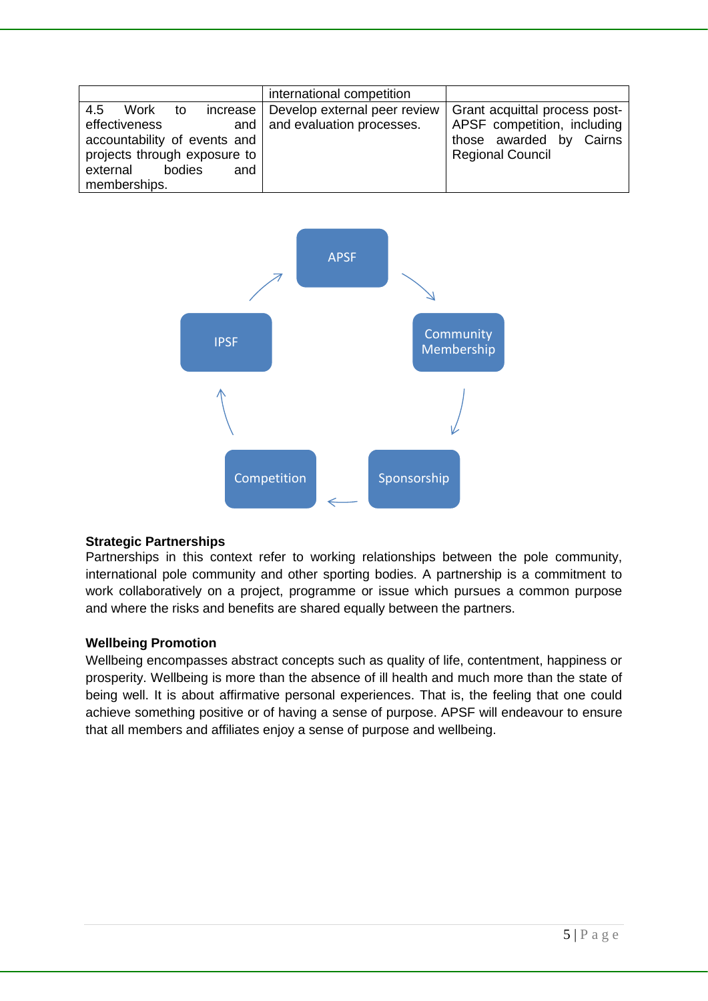|                                                                                                                                 | international competition                                                |                                                                                                                    |
|---------------------------------------------------------------------------------------------------------------------------------|--------------------------------------------------------------------------|--------------------------------------------------------------------------------------------------------------------|
| Work<br>4.5<br>to<br>effectiveness<br>accountability of events and<br>projects through exposure to<br>bodies<br>external<br>and | increase   Develop external peer review<br>and and evaluation processes. | Grant acquittal process post-<br>APSF competition, including<br>those awarded by Cairns<br><b>Regional Council</b> |
| memberships.                                                                                                                    |                                                                          |                                                                                                                    |



#### **Strategic Partnerships**

Partnerships in this context refer to working relationships between the pole community, international pole community and other sporting bodies. A partnership is a commitment to work collaboratively on a project, programme or issue which pursues a common purpose and where the risks and benefits are shared equally between the partners.

#### **Wellbeing Promotion**

Wellbeing encompasses abstract concepts such as quality of life, contentment, happiness or prosperity. Wellbeing is more than the absence of ill health and much more than the state of being well. It is about affirmative personal experiences. That is, the feeling that one could achieve something positive or of having a sense of purpose. APSF will endeavour to ensure that all members and affiliates enjoy a sense of purpose and wellbeing.